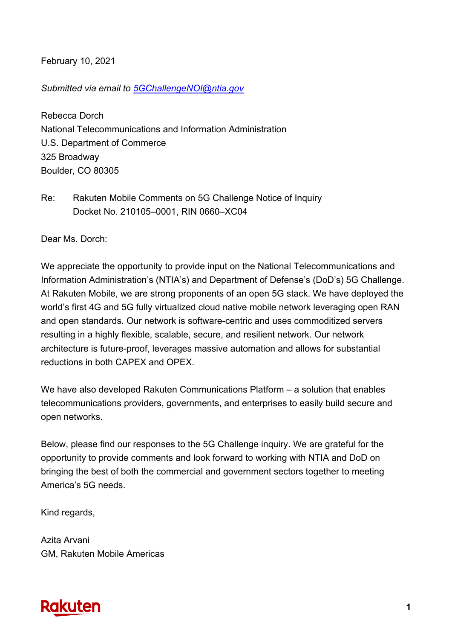February 10, 2021

*Submitted via email to 5GChallengeNOI@ntia.gov*

Rebecca Dorch National Telecommunications and Information Administration U.S. Department of Commerce 325 Broadway Boulder, CO 80305

Re: Rakuten Mobile Comments on 5G Challenge Notice of Inquiry Docket No. 210105–0001, RIN 0660–XC04

Dear Ms. Dorch:

We appreciate the opportunity to provide input on the National Telecommunications and Information Administration's (NTIA's) and Department of Defense's (DoD's) 5G Challenge. At Rakuten Mobile, we are strong proponents of an open 5G stack. We have deployed the world's first 4G and 5G fully virtualized cloud native mobile network leveraging open RAN and open standards. Our network is software-centric and uses commoditized servers resulting in a highly flexible, scalable, secure, and resilient network. Our network architecture is future-proof, leverages massive automation and allows for substantial reductions in both CAPEX and OPEX.

We have also developed Rakuten Communications Platform – a solution that enables telecommunications providers, governments, and enterprises to easily build secure and open networks.

Below, please find our responses to the 5G Challenge inquiry. We are grateful for the opportunity to provide comments and look forward to working with NTIA and DoD on bringing the best of both the commercial and government sectors together to meeting America's 5G needs.

Kind regards,

Azita Arvani GM, Rakuten Mobile Americas

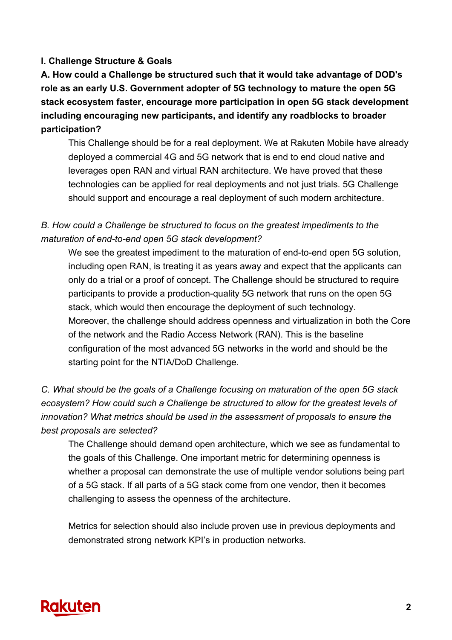#### **I. Challenge Structure & Goals**

**A. How could a Challenge be structured such that it would take advantage of DOD's role as an early U.S. Government adopter of 5G technology to mature the open 5G stack ecosystem faster, encourage more participation in open 5G stack development including encouraging new participants, and identify any roadblocks to broader participation?**

This Challenge should be for a real deployment. We at Rakuten Mobile have already deployed a commercial 4G and 5G network that is end to end cloud native and leverages open RAN and virtual RAN architecture. We have proved that these technologies can be applied for real deployments and not just trials. 5G Challenge should support and encourage a real deployment of such modern architecture.

## *B. How could a Challenge be structured to focus on the greatest impediments to the maturation of end-to-end open 5G stack development?*

We see the greatest impediment to the maturation of end-to-end open 5G solution, including open RAN, is treating it as years away and expect that the applicants can only do a trial or a proof of concept. The Challenge should be structured to require participants to provide a production-quality 5G network that runs on the open 5G stack, which would then encourage the deployment of such technology. Moreover, the challenge should address openness and virtualization in both the Core of the network and the Radio Access Network (RAN). This is the baseline configuration of the most advanced 5G networks in the world and should be the starting point for the NTIA/DoD Challenge.

*C. What should be the goals of a Challenge focusing on maturation of the open 5G stack ecosystem? How could such a Challenge be structured to allow for the greatest levels of innovation? What metrics should be used in the assessment of proposals to ensure the best proposals are selected?*

The Challenge should demand open architecture, which we see as fundamental to the goals of this Challenge. One important metric for determining openness is whether a proposal can demonstrate the use of multiple vendor solutions being part of a 5G stack. If all parts of a 5G stack come from one vendor, then it becomes challenging to assess the openness of the architecture.

Metrics for selection should also include proven use in previous deployments and demonstrated strong network KPI's in production networks*.* 

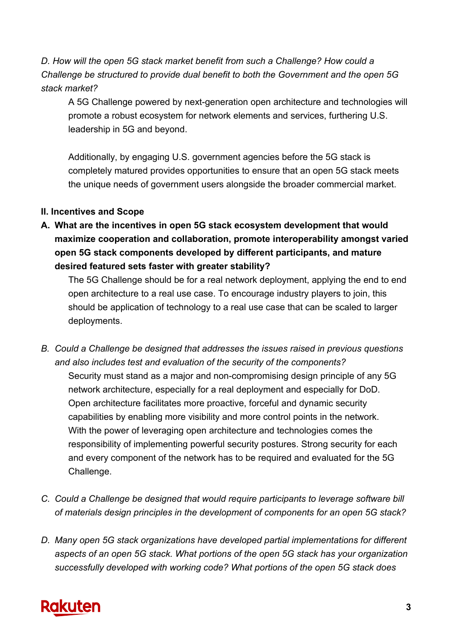*D. How will the open 5G stack market benefit from such a Challenge? How could a Challenge be structured to provide dual benefit to both the Government and the open 5G stack market?*

A 5G Challenge powered by next-generation open architecture and technologies will promote a robust ecosystem for network elements and services, furthering U.S. leadership in 5G and beyond.

Additionally, by engaging U.S. government agencies before the 5G stack is completely matured provides opportunities to ensure that an open 5G stack meets the unique needs of government users alongside the broader commercial market.

### **II. Incentives and Scope**

**A. What are the incentives in open 5G stack ecosystem development that would maximize cooperation and collaboration, promote interoperability amongst varied open 5G stack components developed by different participants, and mature desired featured sets faster with greater stability?**

The 5G Challenge should be for a real network deployment, applying the end to end open architecture to a real use case. To encourage industry players to join, this should be application of technology to a real use case that can be scaled to larger deployments.

- *B. Could a Challenge be designed that addresses the issues raised in previous questions and also includes test and evaluation of the security of the components?* Security must stand as a major and non-compromising design principle of any 5G network architecture, especially for a real deployment and especially for DoD. Open architecture facilitates more proactive, forceful and dynamic security capabilities by enabling more visibility and more control points in the network. With the power of leveraging open architecture and technologies comes the responsibility of implementing powerful security postures. Strong security for each and every component of the network has to be required and evaluated for the 5G Challenge.
- *C. Could a Challenge be designed that would require participants to leverage software bill of materials design principles in the development of components for an open 5G stack?*
- *D. Many open 5G stack organizations have developed partial implementations for different aspects of an open 5G stack. What portions of the open 5G stack has your organization successfully developed with working code? What portions of the open 5G stack does*

# **Rakuten**